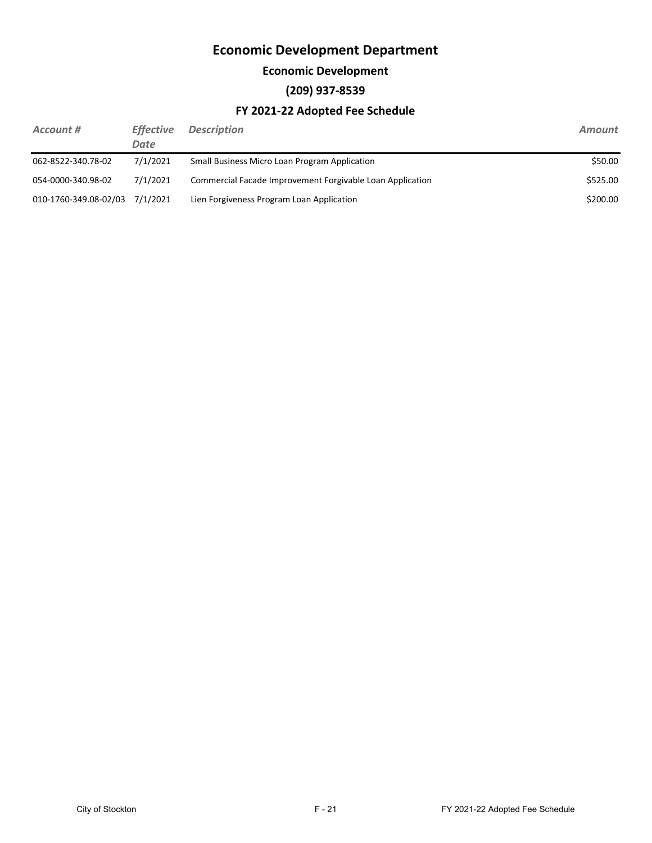#### **Economic Development**

### **(209) 937-8539**

| Account #             | <b>Effective</b><br>Date | <b>Description</b>                                        | <b>Amount</b> |
|-----------------------|--------------------------|-----------------------------------------------------------|---------------|
| 062-8522-340.78-02    | 7/1/2021                 | Small Business Micro Loan Program Application             | \$50.00       |
| 054-0000-340.98-02    | 7/1/2021                 | Commercial Facade Improvement Forgivable Loan Application | \$525.00      |
| 010-1760-349.08-02/03 | 7/1/2021                 | Lien Forgiveness Program Loan Application                 | \$200.00      |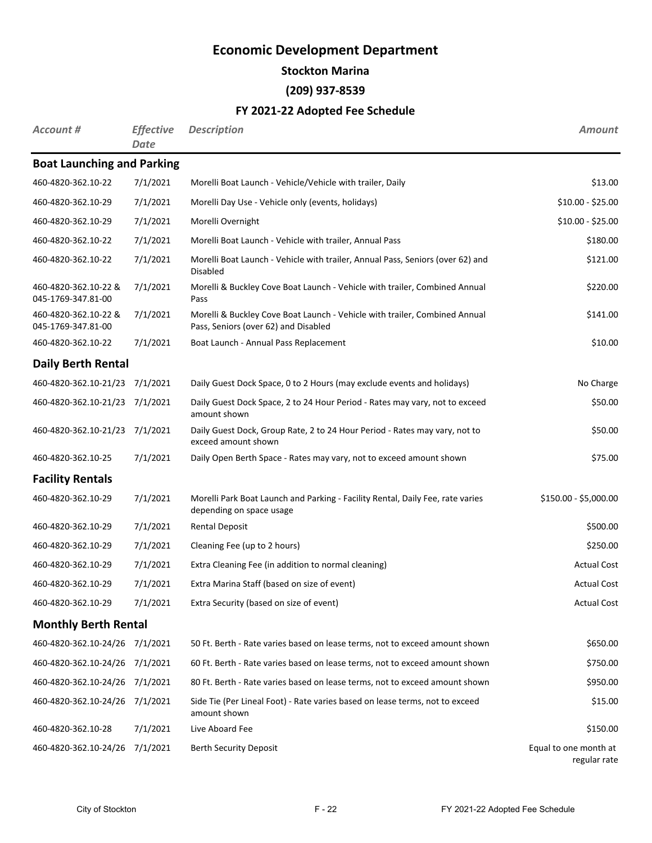**Stockton Marina**

**(209) 937-8539**

| Account #                                  | <b>Effective</b><br>Date | <b>Description</b>                                                                                                 | Amount                                |
|--------------------------------------------|--------------------------|--------------------------------------------------------------------------------------------------------------------|---------------------------------------|
| <b>Boat Launching and Parking</b>          |                          |                                                                                                                    |                                       |
| 460-4820-362.10-22                         | 7/1/2021                 | Morelli Boat Launch - Vehicle/Vehicle with trailer, Daily                                                          | \$13.00                               |
| 460-4820-362.10-29                         | 7/1/2021                 | Morelli Day Use - Vehicle only (events, holidays)                                                                  | $$10.00 - $25.00$                     |
| 460-4820-362.10-29                         | 7/1/2021                 | Morelli Overnight                                                                                                  | $$10.00 - $25.00$                     |
| 460-4820-362.10-22                         | 7/1/2021                 | Morelli Boat Launch - Vehicle with trailer, Annual Pass                                                            | \$180.00                              |
| 460-4820-362.10-22                         | 7/1/2021                 | Morelli Boat Launch - Vehicle with trailer, Annual Pass, Seniors (over 62) and<br><b>Disabled</b>                  | \$121.00                              |
| 460-4820-362.10-22 &<br>045-1769-347.81-00 | 7/1/2021                 | Morelli & Buckley Cove Boat Launch - Vehicle with trailer, Combined Annual<br>Pass                                 | \$220.00                              |
| 460-4820-362.10-22 &<br>045-1769-347.81-00 | 7/1/2021                 | Morelli & Buckley Cove Boat Launch - Vehicle with trailer, Combined Annual<br>Pass, Seniors (over 62) and Disabled | \$141.00                              |
| 460-4820-362.10-22                         | 7/1/2021                 | Boat Launch - Annual Pass Replacement                                                                              | \$10.00                               |
| <b>Daily Berth Rental</b>                  |                          |                                                                                                                    |                                       |
| 460-4820-362.10-21/23 7/1/2021             |                          | Daily Guest Dock Space, 0 to 2 Hours (may exclude events and holidays)                                             | No Charge                             |
| 460-4820-362.10-21/23 7/1/2021             |                          | Daily Guest Dock Space, 2 to 24 Hour Period - Rates may vary, not to exceed<br>amount shown                        | \$50.00                               |
| 460-4820-362.10-21/23                      | 7/1/2021                 | Daily Guest Dock, Group Rate, 2 to 24 Hour Period - Rates may vary, not to<br>exceed amount shown                  | \$50.00                               |
| 460-4820-362.10-25                         | 7/1/2021                 | Daily Open Berth Space - Rates may vary, not to exceed amount shown                                                | \$75.00                               |
| <b>Facility Rentals</b>                    |                          |                                                                                                                    |                                       |
| 460-4820-362.10-29                         | 7/1/2021                 | Morelli Park Boat Launch and Parking - Facility Rental, Daily Fee, rate varies<br>depending on space usage         | $$150.00 - $5,000.00$                 |
| 460-4820-362.10-29                         | 7/1/2021                 | <b>Rental Deposit</b>                                                                                              | \$500.00                              |
| 460-4820-362.10-29                         | 7/1/2021                 | Cleaning Fee (up to 2 hours)                                                                                       | \$250.00                              |
| 460-4820-362.10-29                         | 7/1/2021                 | Extra Cleaning Fee (in addition to normal cleaning)                                                                | <b>Actual Cost</b>                    |
| 460-4820-362.10-29                         | 7/1/2021                 | Extra Marina Staff (based on size of event)                                                                        | <b>Actual Cost</b>                    |
| 460-4820-362.10-29                         | 7/1/2021                 | Extra Security (based on size of event)                                                                            | <b>Actual Cost</b>                    |
| <b>Monthly Berth Rental</b>                |                          |                                                                                                                    |                                       |
| 460-4820-362.10-24/26 7/1/2021             |                          | 50 Ft. Berth - Rate varies based on lease terms, not to exceed amount shown                                        | \$650.00                              |
| 460-4820-362.10-24/26 7/1/2021             |                          | 60 Ft. Berth - Rate varies based on lease terms, not to exceed amount shown                                        | \$750.00                              |
| 460-4820-362.10-24/26 7/1/2021             |                          | 80 Ft. Berth - Rate varies based on lease terms, not to exceed amount shown                                        | \$950.00                              |
| 460-4820-362.10-24/26 7/1/2021             |                          | Side Tie (Per Lineal Foot) - Rate varies based on lease terms, not to exceed<br>amount shown                       | \$15.00                               |
| 460-4820-362.10-28                         | 7/1/2021                 | Live Aboard Fee                                                                                                    | \$150.00                              |
| 460-4820-362.10-24/26                      | 7/1/2021                 | <b>Berth Security Deposit</b>                                                                                      | Equal to one month at<br>regular rate |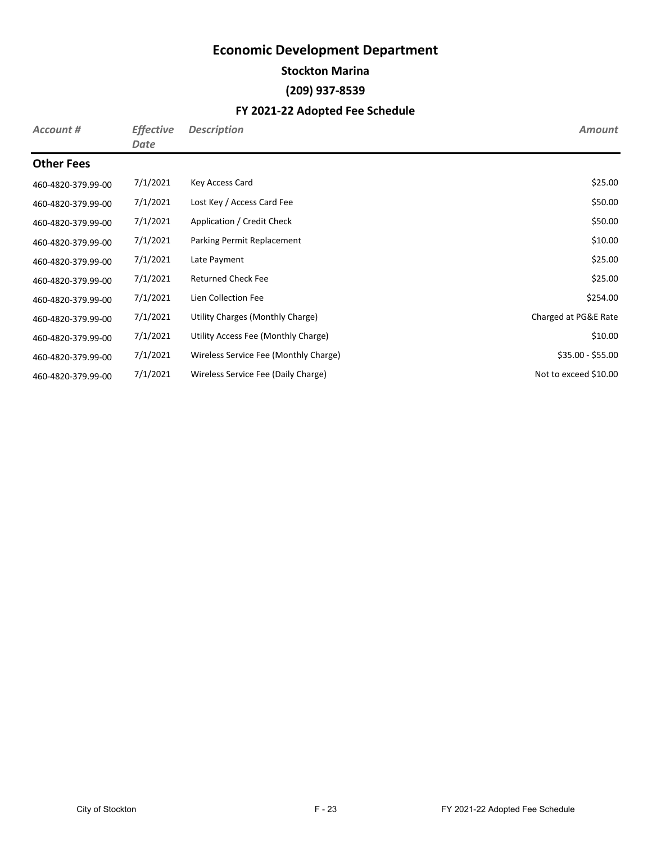**Stockton Marina**

#### **(209) 937-8539**

| Account #          | <b>Effective</b><br>Date | <b>Description</b>                    | <b>Amount</b>         |
|--------------------|--------------------------|---------------------------------------|-----------------------|
| <b>Other Fees</b>  |                          |                                       |                       |
| 460-4820-379.99-00 | 7/1/2021                 | Key Access Card                       | \$25.00               |
| 460-4820-379.99-00 | 7/1/2021                 | Lost Key / Access Card Fee            | \$50.00               |
| 460-4820-379.99-00 | 7/1/2021                 | Application / Credit Check            | \$50.00               |
| 460-4820-379.99-00 | 7/1/2021                 | Parking Permit Replacement            | \$10.00               |
| 460-4820-379.99-00 | 7/1/2021                 | Late Payment                          | \$25.00               |
| 460-4820-379.99-00 | 7/1/2021                 | <b>Returned Check Fee</b>             | \$25.00               |
| 460-4820-379.99-00 | 7/1/2021                 | Lien Collection Fee                   | \$254.00              |
| 460-4820-379.99-00 | 7/1/2021                 | Utility Charges (Monthly Charge)      | Charged at PG&E Rate  |
| 460-4820-379.99-00 | 7/1/2021                 | Utility Access Fee (Monthly Charge)   | \$10.00               |
| 460-4820-379.99-00 | 7/1/2021                 | Wireless Service Fee (Monthly Charge) | $$35.00 - $55.00$     |
| 460-4820-379.99-00 | 7/1/2021                 | Wireless Service Fee (Daily Charge)   | Not to exceed \$10.00 |